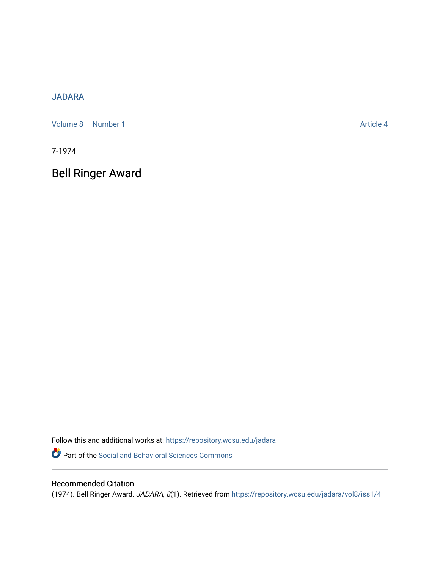## [JADARA](https://repository.wcsu.edu/jadara)

[Volume 8](https://repository.wcsu.edu/jadara/vol8) | [Number 1](https://repository.wcsu.edu/jadara/vol8/iss1) Article 4

7-1974

Bell Ringer Award

Follow this and additional works at: [https://repository.wcsu.edu/jadara](https://repository.wcsu.edu/jadara?utm_source=repository.wcsu.edu%2Fjadara%2Fvol8%2Fiss1%2F4&utm_medium=PDF&utm_campaign=PDFCoverPages) Part of the [Social and Behavioral Sciences Commons](http://network.bepress.com/hgg/discipline/316?utm_source=repository.wcsu.edu%2Fjadara%2Fvol8%2Fiss1%2F4&utm_medium=PDF&utm_campaign=PDFCoverPages) 

## Recommended Citation

(1974). Bell Ringer Award. JADARA, 8(1). Retrieved from [https://repository.wcsu.edu/jadara/vol8/iss1/4](https://repository.wcsu.edu/jadara/vol8/iss1/4?utm_source=repository.wcsu.edu%2Fjadara%2Fvol8%2Fiss1%2F4&utm_medium=PDF&utm_campaign=PDFCoverPages)